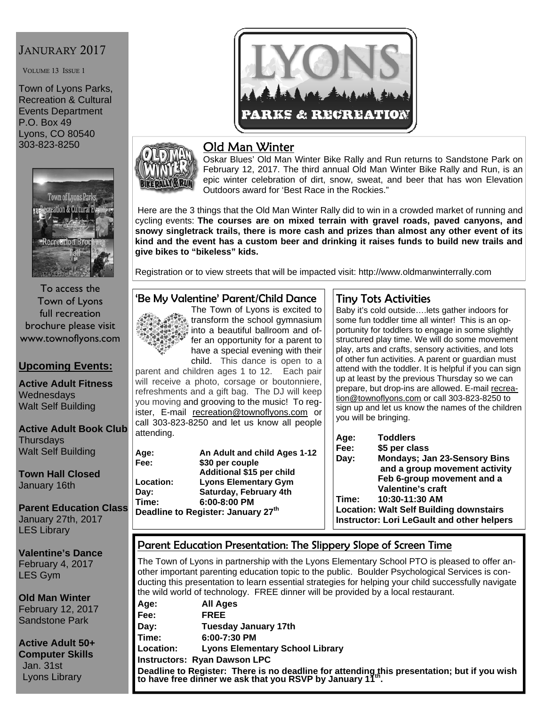## JANURARY 2017

VOLUME 13 ISSUE 1

Town of Lyons Parks, Recreation & Cultural Events Department P.O. Box 49 Lyons, CO 80540 303-823-8250



To access the Town of Lyons full recreation brochure please visit www.townoflyons.com

#### **Upcoming Events:**

**Active Adult Fitness Wednesdays** Walt Self Building

**Active Adult Book Club Thursdays** Walt Self Building

**Town Hall Closed**  January 16th

**Parent Education Class**  January 27th, 2017 LES Library

**Valentine's Dance**  February 4, 2017 LES Gym

**Old Man Winter**  February 12, 2017 Sandstone Park

**Active Adult 50+ Computer Skills**  Jan. 31st Lyons Library



# Old Man Winter

Oskar Blues' Old Man Winter Bike Rally and Run returns to Sandstone Park on February 12, 2017. The third annual Old Man Winter Bike Rally and Run, is an epic winter celebration of dirt, snow, sweat, and beer that has won Elevation Outdoors award for 'Best Race in the Rockies."

 Here are the 3 things that the Old Man Winter Rally did to win in a crowded market of running and cycling events: **The courses are on mixed terrain with gravel roads, paved canyons, and snowy singletrack trails, there is more cash and prizes than almost any other event of its kind and the event has a custom beer and drinking it raises funds to build new trails and give bikes to "bikeless" kids.**

Registration or to view streets that will be impacted visit: http://www.oldmanwinterrally.com

#### 'Be My Valentine' Parent/Child Dance



transform the school gymnasium into a beautiful ballroom and offer an opportunity for a parent to have a special evening with their child. This dance is open to a parent and children ages 1 to 12. Each pair

will receive a photo, corsage or boutonniere, refreshments and a gift bag. The DJ will keep you moving and grooving to the music! To register, E-mail recreation@townoflyons.com or call 303-823-8250 and let us know all people attending.

| Age:      | An Adult and child Ages 1-12                   |
|-----------|------------------------------------------------|
| Fee:      | \$30 per couple                                |
|           | Additional \$15 per child                      |
| Location: | <b>Lyons Elementary Gym</b>                    |
| Day:      | Saturday, February 4th                         |
| Time:     | $6:00 - 8:00$ PM                               |
|           | Deadline to Register: January 27 <sup>th</sup> |

## Tiny Tots Activities

Baby it's cold outside….lets gather indoors for some fun toddler time all winter! This is an opportunity for toddlers to engage in some slightly structured play time. We will do some movement play, arts and crafts, sensory activities, and lots of other fun activities. A parent or guardian must attend with the toddler. It is helpful if you can sign up at least by the previous Thursday so we can prepare, but drop-ins are allowed. E-mail recreation@townoflyons.com or call 303-823-8250 to sign up and let us know the names of the children you will be bringing.

**Age: Toddlers Fee: \$5 per class Day: Mondays; Jan 23-Sensory Bins and a group movement activity Feb 6-group movement and a Valentine's craft Time: 10:30-11:30 AM Location: Walt Self Building downstairs Instructor: Lori LeGault and other helpers** 

#### Parent Education Presentation: The Slippery Slope of Screen Time

The Town of Lyons in partnership with the Lyons Elementary School PTO is pleased to offer another important parenting education topic to the public. Boulder Psychological Services is conducting this presentation to learn essential strategies for helping your child successfully navigate the wild world of technology. FREE dinner will be provided by a local restaurant.

|                                                                                                                                                          | the wild world of technology. Three diffiler will be provided by a local restaurant. |  |
|----------------------------------------------------------------------------------------------------------------------------------------------------------|--------------------------------------------------------------------------------------|--|
| Age:                                                                                                                                                     | All Ages                                                                             |  |
| Fee:                                                                                                                                                     | <b>FREE</b>                                                                          |  |
| Day:                                                                                                                                                     | <b>Tuesday January 17th</b>                                                          |  |
| Time:                                                                                                                                                    | $6:00-7:30$ PM                                                                       |  |
| <b>Location:</b>                                                                                                                                         | <b>Lyons Elementary School Library</b>                                               |  |
| <b>Instructors: Ryan Dawson LPC</b>                                                                                                                      |                                                                                      |  |
| Deadline to Register: There is no deadline for attending this presentation; but if you wish<br>to have free dinner we ask that you RSVP by January 11th. |                                                                                      |  |